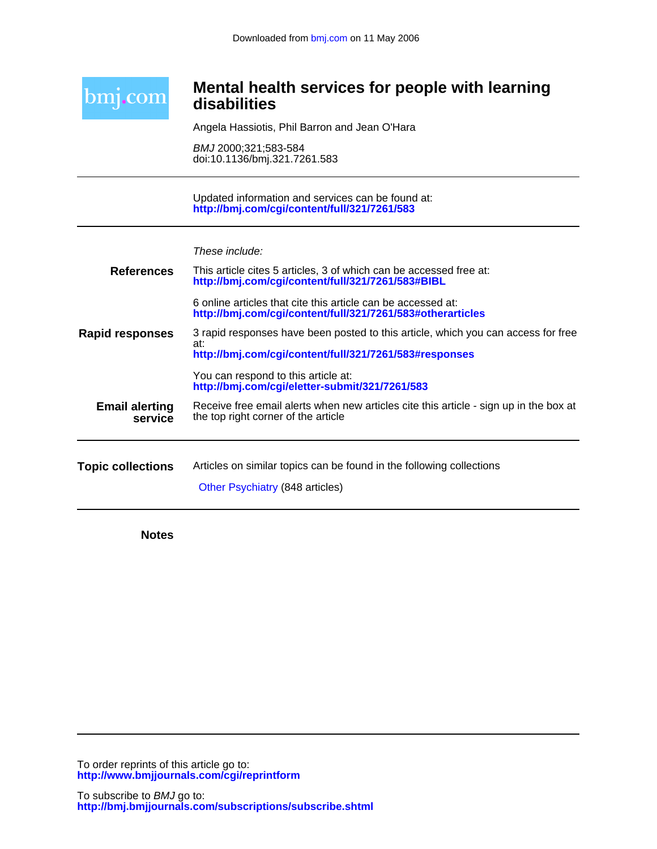

## **disabilities Mental health services for people with learning**

Angela Hassiotis, Phil Barron and Jean O'Hara

doi:10.1136/bmj.321.7261.583 BMJ 2000;321;583-584

**<http://bmj.com/cgi/content/full/321/7261/583>** Updated information and services can be found at:

| These include: |  |
|----------------|--|
|                |  |

| <b>References</b>                | This article cites 5 articles, 3 of which can be accessed free at:<br>http://bmj.com/cgi/content/full/321/7261/583#BIBL                            |
|----------------------------------|----------------------------------------------------------------------------------------------------------------------------------------------------|
|                                  | 6 online articles that cite this article can be accessed at:<br>http://bmj.com/cgi/content/full/321/7261/583#otherarticles                         |
| Rapid responses                  | 3 rapid responses have been posted to this article, which you can access for free<br>at:<br>http://bmj.com/cgi/content/full/321/7261/583#responses |
|                                  | You can respond to this article at:<br>http://bmj.com/cgi/eletter-submit/321/7261/583                                                              |
| <b>Email alerting</b><br>service | Receive free email alerts when new articles cite this article - sign up in the box at<br>the top right corner of the article                       |
| <b>Topic collections</b>         | Articles on similar topics can be found in the following collections<br>Other Psychiatry (848 articles)                                            |
|                                  |                                                                                                                                                    |

**Notes**

**<http://www.bmjjournals.com/cgi/reprintform>** To order reprints of this article go to: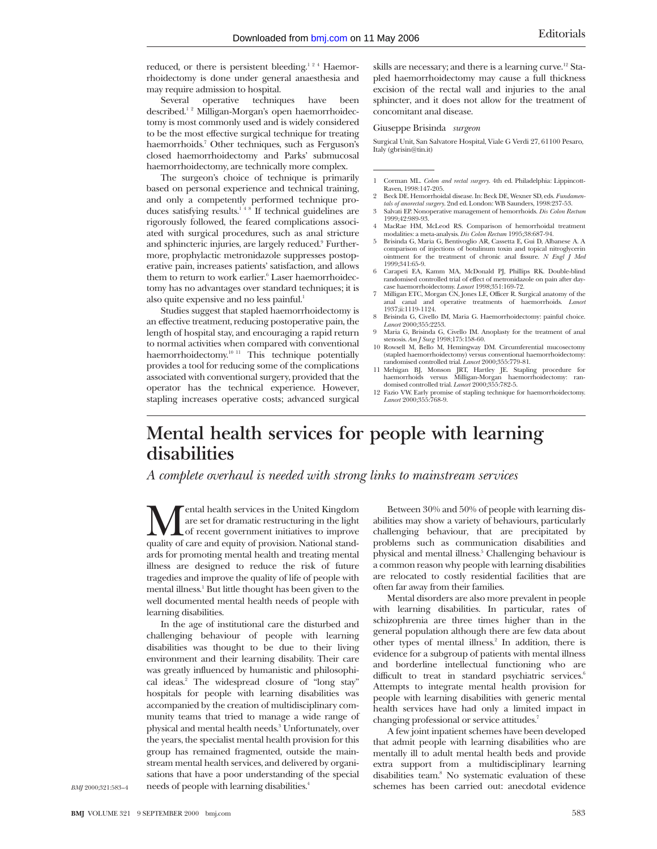reduced, or there is persistent bleeding.<sup>124</sup> Haemorrhoidectomy is done under general anaesthesia and may require admission to hospital.

Several operative techniques have been described.<sup>12</sup> Milligan-Morgan's open haemorrhoidectomy is most commonly used and is widely considered to be the most effective surgical technique for treating haemorrhoids.<sup>7</sup> Other techniques, such as Ferguson's closed haemorrhoidectomy and Parks' submucosal haemorrhoidectomy, are technically more complex.

The surgeon's choice of technique is primarily based on personal experience and technical training, and only a competently performed technique produces satisfying results.<sup>148</sup> If technical guidelines are rigorously followed, the feared complications associated with surgical procedures, such as anal stricture and sphincteric injuries, are largely reduced.<sup>9</sup> Furthermore, prophylactic metronidazole suppresses postoperative pain, increases patients' satisfaction, and allows them to return to work earlier.<sup>6</sup> Laser haemorrhoidectomy has no advantages over standard techniques; it is also quite expensive and no less painful.<sup>1</sup>

Studies suggest that stapled haemorrhoidectomy is an effective treatment, reducing postoperative pain, the length of hospital stay, and encouraging a rapid return to normal activities when compared with conventional haemorrhoidectomy.<sup>10 11</sup> This technique potentially provides a tool for reducing some of the complications associated with conventional surgery, provided that the operator has the technical experience. However, stapling increases operative costs; advanced surgical

skills are necessary; and there is a learning curve.<sup>12</sup> Stapled haemorrhoidectomy may cause a full thickness excision of the rectal wall and injuries to the anal sphincter, and it does not allow for the treatment of concomitant anal disease.

## Giuseppe Brisinda *surgeon*

Surgical Unit, San Salvatore Hospital, Viale G Verdi 27, 61100 Pesaro, Italy (gbrisin@tin.it)

- 1 Corman ML. *Colon and rectal surgery*. 4th ed. Philadelphia: Lippincott-Raven, 1998:147-205.
- 2 Beck DE. Hemorrhoidal disease. In: Beck DE, Wexner SD, eds. *Fundamentals of anorectal surgery*. 2nd ed. London: WB Saunders, 1998:237-53.
- 3 Salvati EP. Nonoperative management of hemorrhoids. *Dis Colon Rectum* 1999;42:989-93. 4 MacRae HM, McLeod RS. Comparison of hemorrhoidal treatment
- modalities: a meta-analysis. *Dis Colon Rectum* 1995;38:687-94. 5 Brisinda G, Maria G, Bentivoglio AR, Cassetta E, Gui D, Albanese A. A
- comparison of injections of botulinum toxin and topical nitroglycerin ointment for the treatment of chronic anal fissure. *N Engl J Med* 1999;341:65-9.
- 6 Carapeti EA, Kamm MA, McDonald PJ, Phillips RK. Double-blind randomised controlled trial of effect of metronidazole on pain after day-case haemorrhoidectomy. *Lancet* 1998;351:169-72.
- Milligan ETC, Morgan CN, Jones LE, Officer R. Surgical anatomy of the anal canal and operative treatments of haemorrhoids. *Lancet* 1937;ii:1119-1124.
- 8 Brisinda G, Civello IM, Maria G. Haemorrhoidectomy: painful choice. *Lancet* 2000;355:2253.
- 9 Maria G, Brisinda G, Civello IM. Anoplasty for the treatment of anal stenosis. *Am J Surg* 1998;175:158-60. 10 Rowsell M, Bello M, Hemingway DM. Circumferential mucosectomy
- (stapled haemorrhoidectomy) versus conventional haemorrhoidectomy: randomised controlled trial. *Lancet* 2000;355:779-81.
- 11 Mehigan BJ, Monson JRT, Hartley JE. Stapling procedure for haemorrhoids versus Milligan-Morgan haemorrhoidectomy: randomised controlled trial. *Lancet* 2000;355:782-5.
- 12 Fazio VW. Early promise of stapling technique for haemorrhoidectomy. *Lancet* 2000;355:768-9.

## **Mental health services for people with learning disabilities**

*A complete overhaul is needed with strong links to mainstream services*

Mental health services in the United Kingdom<br>are set for dramatic restructuring in the light<br>of recent government initiatives to improve<br>quality of care and equity of provision. National standare set for dramatic restructuring in the light of recent government initiatives to improve ards for promoting mental health and treating mental illness are designed to reduce the risk of future tragedies and improve the quality of life of people with mental illness.<sup>1</sup> But little thought has been given to the well documented mental health needs of people with learning disabilities.

In the age of institutional care the disturbed and challenging behaviour of people with learning disabilities was thought to be due to their living environment and their learning disability. Their care was greatly influenced by humanistic and philosophical ideas.2 The widespread closure of "long stay" hospitals for people with learning disabilities was accompanied by the creation of multidisciplinary community teams that tried to manage a wide range of physical and mental health needs.<sup>3</sup> Unfortunately, over the years, the specialist mental health provision for this group has remained fragmented, outside the mainstream mental health services, and delivered by organisations that have a poor understanding of the special needs of people with learning disabilities.4

Between 30% and 50% of people with learning disabilities may show a variety of behaviours, particularly challenging behaviour, that are precipitated by problems such as communication disabilities and physical and mental illness.<sup>5</sup> Challenging behaviour is a common reason why people with learning disabilities are relocated to costly residential facilities that are often far away from their families.

Mental disorders are also more prevalent in people with learning disabilities. In particular, rates of schizophrenia are three times higher than in the general population although there are few data about other types of mental illness.<sup>2</sup> In addition, there is evidence for a subgroup of patients with mental illness and borderline intellectual functioning who are difficult to treat in standard psychiatric services.<sup>6</sup> Attempts to integrate mental health provision for people with learning disabilities with generic mental health services have had only a limited impact in changing professional or service attitudes.<sup>7</sup>

A few joint inpatient schemes have been developed that admit people with learning disabilities who are mentally ill to adult mental health beds and provide extra support from a multidisciplinary learning disabilities team.<sup>8</sup> No systematic evaluation of these schemes has been carried out: anecdotal evidence

*BMJ* 2000;321:583–4